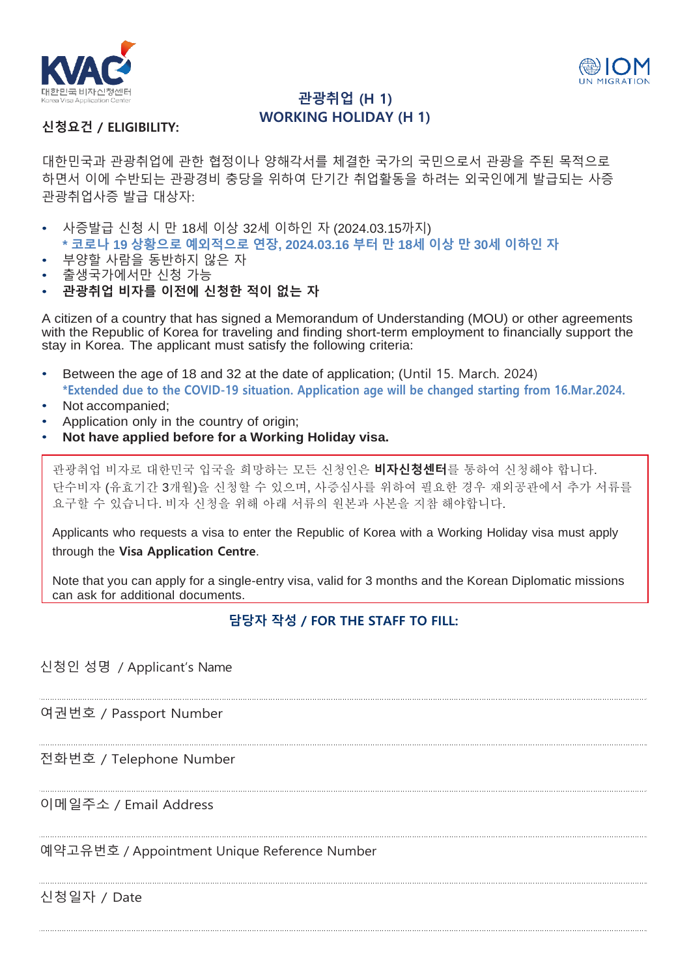



## **관광취업 (H 1) WORKING HOLIDAY (H 1)**

## **신청요건 / ELIGIBILITY:**

대한민국과 관광취업에 관한 협정이나 양해각서를 체결한 국가의 국민으로서 관광을 주된 목적으로 하면서 이에 수반되는 관광경비 충당을 위하여 단기간 취업활동을 하려는 외국인에게 발급되는 사증 관광취업사증 발급 대상자:

- 사증발급 신청 시 만 18세 이상 32세 이하인 자 (2024.03.15까지)
- **\* 코로나 19 상황으로 예외적으로 연장, 2024.03.16 부터 만 18세 이상 만 30세 이하인 자**
- 부양할 사람을 동반하지 않은 자
- 출생국가에서만 신청 가능
- **관광취업 비자를 이전에 신청한 적이 없는 자**

A citizen of a country that has signed a Memorandum of Understanding (MOU) or other agreements with the Republic of Korea for traveling and finding short-term employment to financially support the stay in Korea. The applicant must satisfy the following criteria:

- Between the age of 18 and 32 at the date of application; (Until 15. March. 2024) **\*Extended due to the COVID-19 situation. Application age will be changed starting from 16.Mar.2024.**
- Not accompanied;
- Application only in the country of origin;
- **Not have applied before for a Working Holiday visa.**

관광취업 비자로 대한민국 입국을 희망하는 모든 신청인은 **비자신청센터**를 통하여 신청해야 합니다. 단수비자 (유효기간 3개월)을 신청할 수 있으며, 사증심사를 위하여 필요한 경우 재외공관에서 추가 서류를 요구할 수 있습니다. 비자 신청을 위해 아래 서류의 원본과 사본을 지참 해야합니다.

Applicants who requests a visa to enter the Republic of Korea with a Working Holiday visa must apply through the **Visa Application Centre**.

Note that you can apply for a single-entry visa, valid for 3 months and the Korean Diplomatic missions can ask for additional documents.

## **담당자 작성 / FOR THE STAFF TO FILL:**

신청인 성명 / Applicant's Name

여권번호 / Passport Number

전화번호 / Telephone Number

## 이메일주소 / Email Address

예약고유번호 / Appointment Unique Reference Number

신청일자 / Date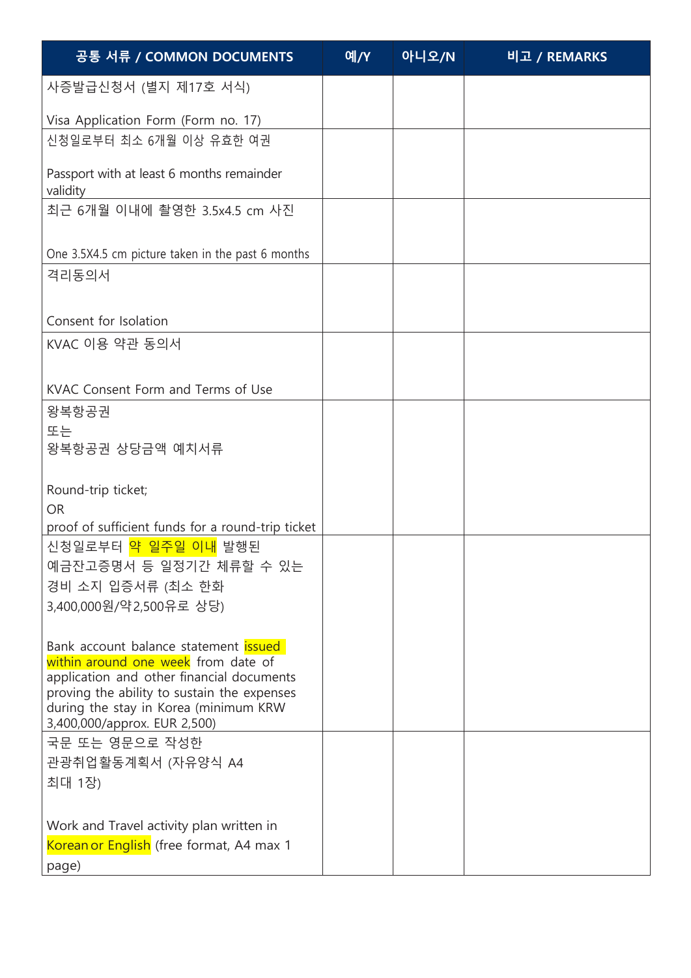| 공통 서류 / COMMON DOCUMENTS                                                              | 예/Y | 아니오/N | 비고 / REMARKS |
|---------------------------------------------------------------------------------------|-----|-------|--------------|
| 사증발급신청서 (별지 제17호 서식)                                                                  |     |       |              |
| Visa Application Form (Form no. 17)<br>신청일로부터 최소 6개월 이상 유효한 여권                        |     |       |              |
| Passport with at least 6 months remainder<br>validity                                 |     |       |              |
| 최근 6개월 이내에 촬영한 3.5x4.5 cm 사진                                                          |     |       |              |
| One 3.5X4.5 cm picture taken in the past 6 months                                     |     |       |              |
| 격리동의서                                                                                 |     |       |              |
| Consent for Isolation                                                                 |     |       |              |
| KVAC 이용 약관 동의서                                                                        |     |       |              |
| KVAC Consent Form and Terms of Use                                                    |     |       |              |
| 왕복항공권                                                                                 |     |       |              |
| 또는                                                                                    |     |       |              |
| 왕복항공권 상당금액 예치서류                                                                       |     |       |              |
| Round-trip ticket;                                                                    |     |       |              |
| <b>OR</b>                                                                             |     |       |              |
| proof of sufficient funds for a round-trip ticket<br>신청일로부터 <mark>약 일주일 이내</mark> 발행된 |     |       |              |
| 예금잔고증명서 등 일정기간 체류할 수 있는                                                               |     |       |              |
| 경비 소지 입증서류 (최소 한화                                                                     |     |       |              |
| 3,400,000원/약2,500유로 상당)                                                               |     |       |              |
|                                                                                       |     |       |              |
| Bank account balance statement issued                                                 |     |       |              |
| within around one week from date of<br>application and other financial documents      |     |       |              |
| proving the ability to sustain the expenses                                           |     |       |              |
| during the stay in Korea (minimum KRW<br>3,400,000/approx. EUR 2,500)                 |     |       |              |
| 국문 또는 영문으로 작성한                                                                        |     |       |              |
| 관광취업활동계획서 (자유양식 A4                                                                    |     |       |              |
| 최대 1장)                                                                                |     |       |              |
| Work and Travel activity plan written in                                              |     |       |              |
| Korean or English (free format, A4 max 1                                              |     |       |              |
| page)                                                                                 |     |       |              |